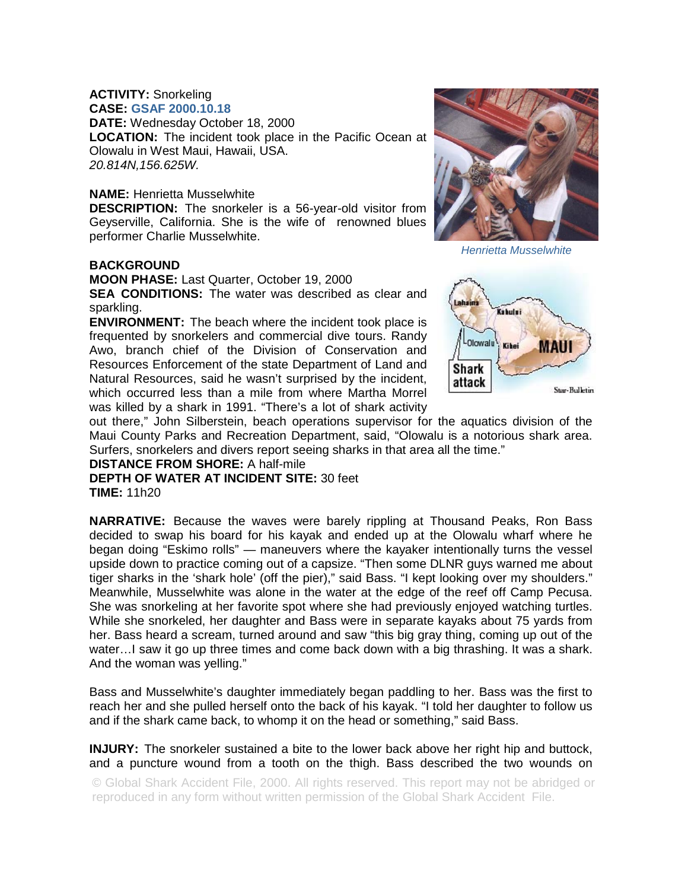## **ACTIVITY:** Snorkeling

**CASE: GSAF 2000.10.18 DATE:** Wednesday October 18, 2000 **LOCATION:** The incident took place in the Pacific Ocean at Olowalu in West Maui, Hawaii, USA. *20.814N,156.625W.* 

## **NAME:** Henrietta Musselwhite

**DESCRIPTION:** The snorkeler is a 56-year-old visitor from Geyserville, California. She is the wife of renowned blues performer Charlie Musselwhite.

## **BACKGROUND**

**MOON PHASE:** Last Quarter, October 19, 2000 **SEA CONDITIONS:** The water was described as clear and sparkling.

**ENVIRONMENT:** The beach where the incident took place is frequented by snorkelers and commercial dive tours. Randy Awo, branch chief of the Division of Conservation and Resources Enforcement of the state Department of Land and Natural Resources, said he wasn't surprised by the incident, which occurred less than a mile from where Martha Morrel was killed by a shark in 1991. "There's a lot of shark activity



*Henrietta Musselwhite*



out there," John Silberstein, beach operations supervisor for the aquatics division of the Maui County Parks and Recreation Department, said, "Olowalu is a notorious shark area. Surfers, snorkelers and divers report seeing sharks in that area all the time."

## **DISTANCE FROM SHORE:** A half-mile

**DEPTH OF WATER AT INCIDENT SITE:** 30 feet **TIME:** 11h20

**NARRATIVE:** Because the waves were barely rippling at Thousand Peaks, Ron Bass decided to swap his board for his kayak and ended up at the Olowalu wharf where he began doing "Eskimo rolls" — maneuvers where the kayaker intentionally turns the vessel upside down to practice coming out of a capsize. "Then some DLNR guys warned me about tiger sharks in the 'shark hole' (off the pier)," said Bass. "I kept looking over my shoulders." Meanwhile, Musselwhite was alone in the water at the edge of the reef off Camp Pecusa. She was snorkeling at her favorite spot where she had previously enjoyed watching turtles. While she snorkeled, her daughter and Bass were in separate kayaks about 75 yards from her. Bass heard a scream, turned around and saw "this big gray thing, coming up out of the water…I saw it go up three times and come back down with a big thrashing. It was a shark. And the woman was yelling."

Bass and Musselwhite's daughter immediately began paddling to her. Bass was the first to reach her and she pulled herself onto the back of his kayak. "I told her daughter to follow us and if the shark came back, to whomp it on the head or something," said Bass.

**INJURY:** The snorkeler sustained a bite to the lower back above her right hip and buttock, and a puncture wound from a tooth on the thigh. Bass described the two wounds on

© Global Shark Accident File, 2000. All rights reserved. This report may not be abridged or reproduced in any form without written permission of the Global Shark Accident File.